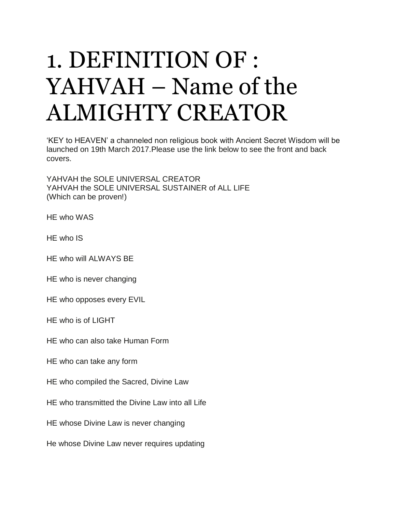## 1. DEFINITION OF : YAHVAH – Name of the ALMIGHTY CREATOR

'KEY to HEAVEN' a channeled non religious book with Ancient Secret Wisdom will be launched on 19th March 2017.Please use the link below to see the front and back covers.

YAHVAH the SOLE UNIVERSAL CREATOR YAHVAH the SOLE UNIVERSAL SUSTAINER of ALL LIFE (Which can be proven!)

HE who WAS

HE who IS

HE who will ALWAYS BE

HE who is never changing

HE who opposes every EVIL

HE who is of LIGHT

HE who can also take Human Form

HE who can take any form

HE who compiled the Sacred, Divine Law

HE who transmitted the Divine Law into all Life

HE whose Divine Law is never changing

He whose Divine Law never requires updating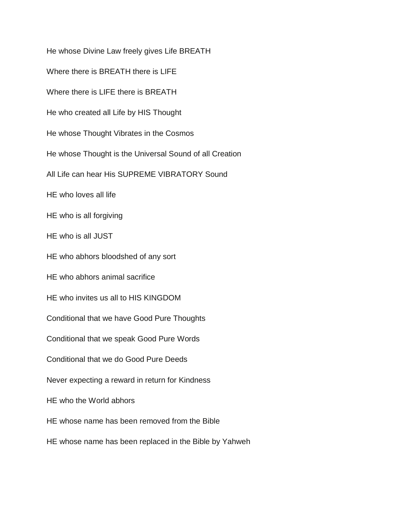He whose Divine Law freely gives Life BREATH Where there is BREATH there is LIFE Where there is LIFE there is BREATH He who created all Life by HIS Thought He whose Thought Vibrates in the Cosmos He whose Thought is the Universal Sound of all Creation All Life can hear His SUPREME VIBRATORY Sound HE who loves all life HE who is all forgiving HE who is all JUST HE who abhors bloodshed of any sort HE who abhors animal sacrifice HE who invites us all to HIS KINGDOM Conditional that we have Good Pure Thoughts Conditional that we speak Good Pure Words Conditional that we do Good Pure Deeds Never expecting a reward in return for Kindness HE who the World abhors HE whose name has been removed from the Bible HE whose name has been replaced in the Bible by Yahweh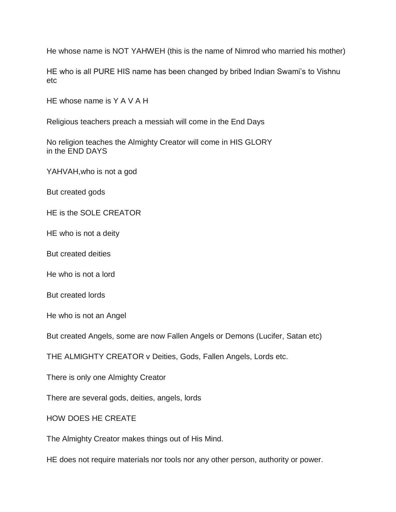He whose name is NOT YAHWEH (this is the name of Nimrod who married his mother)

HE who is all PURE HIS name has been changed by bribed Indian Swami's to Vishnu etc

HE whose name is Y A V A H

Religious teachers preach a messiah will come in the End Days

No religion teaches the Almighty Creator will come in HIS GLORY in the END DAYS

YAHVAH,who is not a god

But created gods

HE is the SOLE CREATOR

HE who is not a deity

But created deities

He who is not a lord

But created lords

He who is not an Angel

But created Angels, some are now Fallen Angels or Demons (Lucifer, Satan etc)

THE ALMIGHTY CREATOR v Deities, Gods, Fallen Angels, Lords etc.

There is only one Almighty Creator

There are several gods, deities, angels, lords

HOW DOES HE CREATE

The Almighty Creator makes things out of His Mind.

HE does not require materials nor tools nor any other person, authority or power.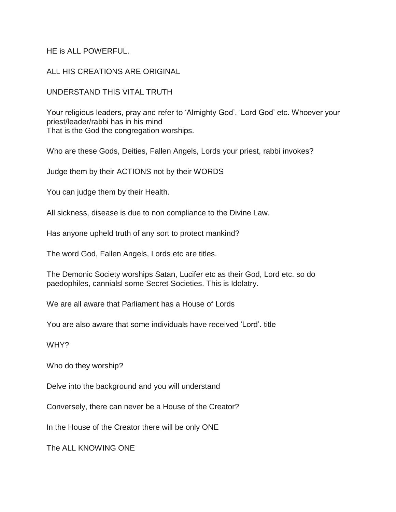## HE is ALL POWERFUL.

## ALL HIS CREATIONS ARE ORIGINAL

## UNDERSTAND THIS VITAL TRUTH

Your religious leaders, pray and refer to 'Almighty God'. 'Lord God' etc. Whoever your priest/leader/rabbi has in his mind That is the God the congregation worships.

Who are these Gods, Deities, Fallen Angels, Lords your priest, rabbi invokes?

Judge them by their ACTIONS not by their WORDS

You can judge them by their Health.

All sickness, disease is due to non compliance to the Divine Law.

Has anyone upheld truth of any sort to protect mankind?

The word God, Fallen Angels, Lords etc are titles.

The Demonic Society worships Satan, Lucifer etc as their God, Lord etc. so do paedophiles, cannialsl some Secret Societies. This is Idolatry.

We are all aware that Parliament has a House of Lords

You are also aware that some individuals have received 'Lord'. title

WHY?

Who do they worship?

Delve into the background and you will understand

Conversely, there can never be a House of the Creator?

In the House of the Creator there will be only ONE

The ALL KNOWING ONE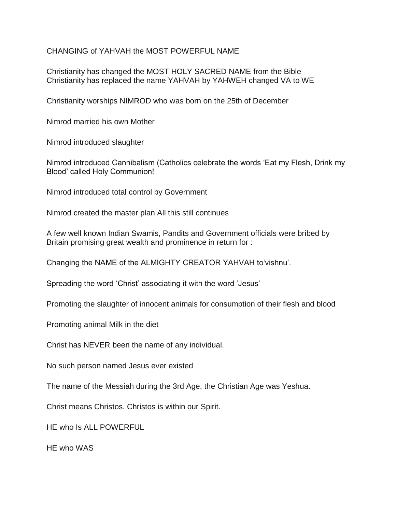CHANGING of YAHVAH the MOST POWERFUL NAME

Christianity has changed the MOST HOLY SACRED NAME from the Bible Christianity has replaced the name YAHVAH by YAHWEH changed VA to WE

Christianity worships NIMROD who was born on the 25th of December

Nimrod married his own Mother

Nimrod introduced slaughter

Nimrod introduced Cannibalism (Catholics celebrate the words 'Eat my Flesh, Drink my Blood' called Holy Communion!

Nimrod introduced total control by Government

Nimrod created the master plan All this still continues

A few well known Indian Swamis, Pandits and Government officials were bribed by Britain promising great wealth and prominence in return for :

Changing the NAME of the ALMIGHTY CREATOR YAHVAH to'vishnu'.

Spreading the word 'Christ' associating it with the word 'Jesus'

Promoting the slaughter of innocent animals for consumption of their flesh and blood

Promoting animal Milk in the diet

Christ has NEVER been the name of any individual.

No such person named Jesus ever existed

The name of the Messiah during the 3rd Age, the Christian Age was Yeshua.

Christ means Christos. Christos is within our Spirit.

HE who Is ALL POWERFUL

HE who WAS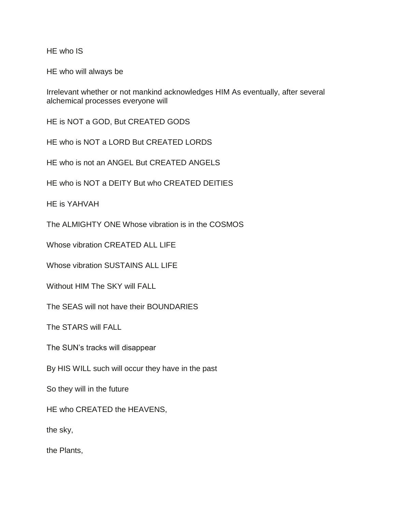HE who IS

HE who will always be

Irrelevant whether or not mankind acknowledges HIM As eventually, after several alchemical processes everyone will

HE is NOT a GOD, But CREATED GODS

HE who is NOT a LORD But CREATED LORDS

HE who is not an ANGEL But CREATED ANGELS

HE who is NOT a DEITY But who CREATED DEITIES

HE is YAHVAH

The ALMIGHTY ONE Whose vibration is in the COSMOS

Whose vibration CREATED ALL LIFE

Whose vibration SUSTAINS ALL LIFE

Without HIM The SKY will FALL

The SEAS will not have their BOUNDARIES

The STARS will FALL

The SUN's tracks will disappear

By HIS WILL such will occur they have in the past

So they will in the future

HE who CREATED the HEAVENS,

the sky,

the Plants,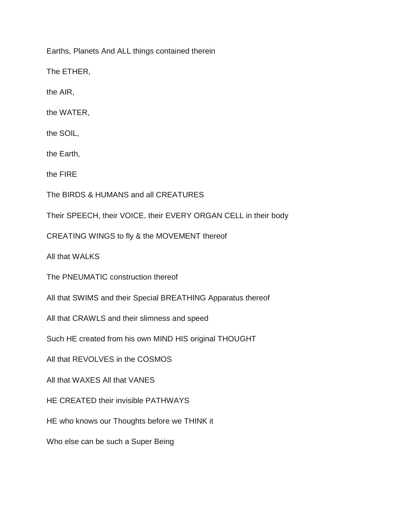Earths, Planets And ALL things contained therein

The ETHER,

the AIR,

the WATER,

the SOIL,

the Earth,

the FIRE

The BIRDS & HUMANS and all CREATURES

Their SPEECH, their VOICE, their EVERY ORGAN CELL in their body

CREATING WINGS to fly & the MOVEMENT thereof

All that WALKS

The PNEUMATIC construction thereof

All that SWIMS and their Special BREATHING Apparatus thereof

All that CRAWLS and their slimness and speed

Such HE created from his own MIND HIS original THOUGHT

All that REVOLVES in the COSMOS

All that WAXES All that VANES

HE CREATED their invisible PATHWAYS

HE who knows our Thoughts before we THINK it

Who else can be such a Super Being